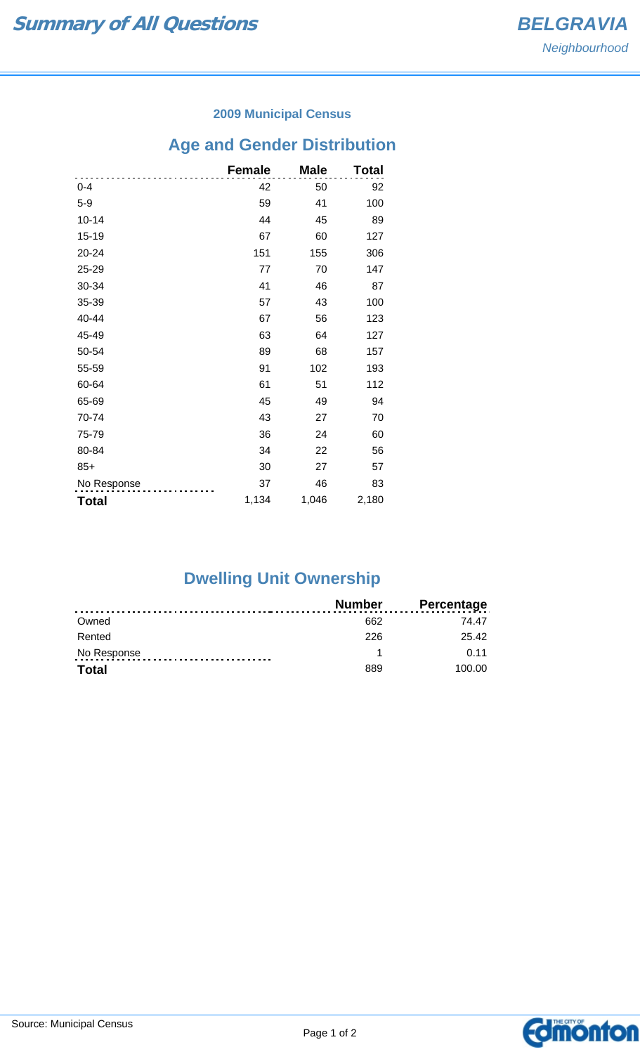### **2009 Municipal Census**

## **Age and Gender Distribution**

|              | <b>Female</b> | <b>Male</b> | Total |
|--------------|---------------|-------------|-------|
| $0 - 4$      | 42            | 50          | 92    |
| $5-9$        | 59            | 41          | 100   |
| $10 - 14$    | 44            | 45          | 89    |
| 15-19        | 67            | 60          | 127   |
| 20-24        | 151           | 155         | 306   |
| 25-29        | 77            | 70          | 147   |
| 30-34        | 41            | 46          | 87    |
| 35-39        | 57            | 43          | 100   |
| 40-44        | 67            | 56          | 123   |
| 45-49        | 63            | 64          | 127   |
| 50-54        | 89            | 68          | 157   |
| 55-59        | 91            | 102         | 193   |
| 60-64        | 61            | 51          | 112   |
| 65-69        | 45            | 49          | 94    |
| 70-74        | 43            | 27          | 70    |
| 75-79        | 36            | 24          | 60    |
| 80-84        | 34            | 22          | 56    |
| $85+$        | 30            | 27          | 57    |
| No Response  | 37            | 46          | 83    |
| <b>Total</b> | 1,134         | 1,046       | 2,180 |

# **Dwelling Unit Ownership**

|              | Number | <b>Percentage</b> |
|--------------|--------|-------------------|
| Owned        | 662    | 74 47             |
| Rented       | 226    | 25.42             |
| No Response  |        | 0.11              |
| <b>Total</b> | 889    | 100.00            |